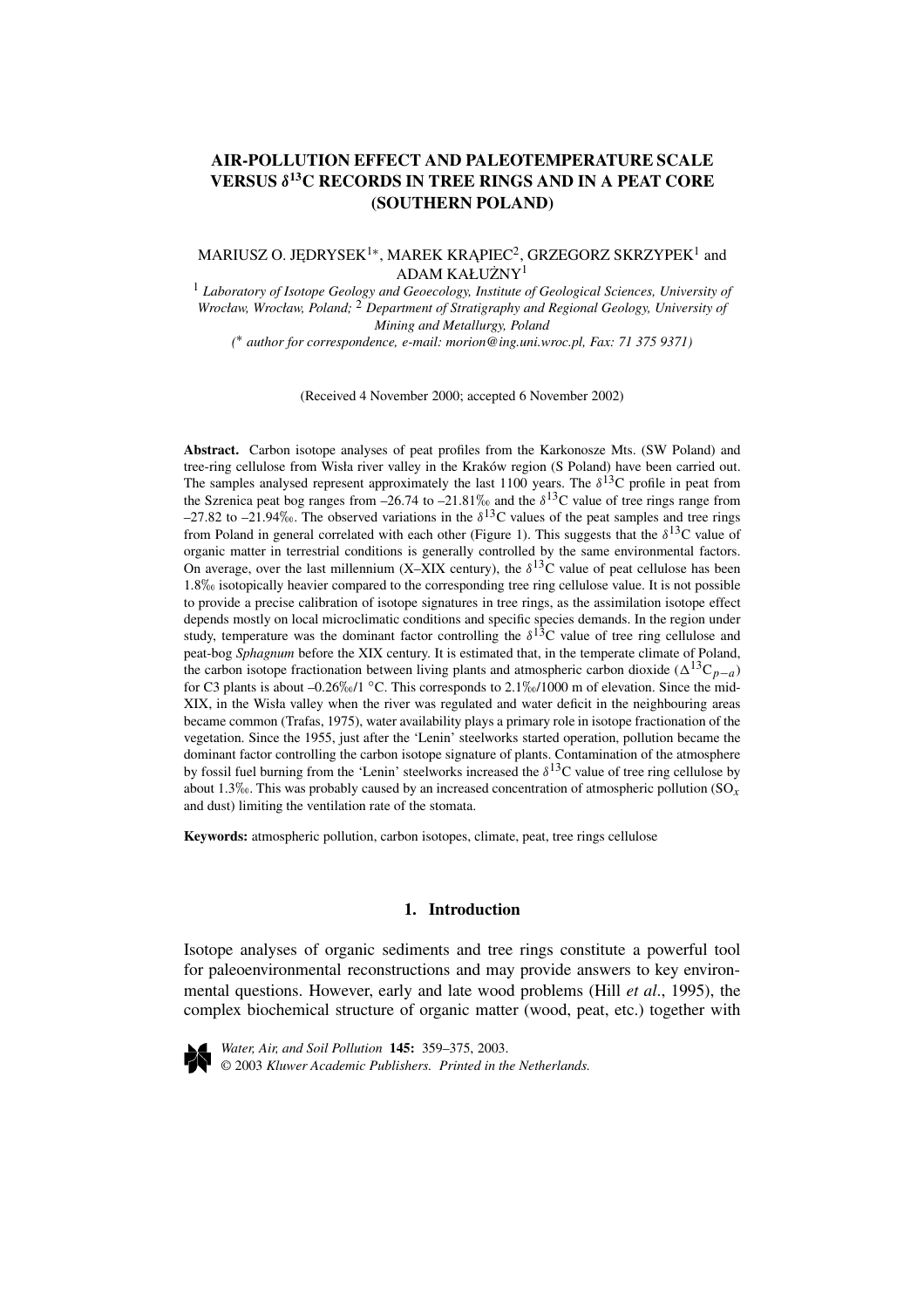# **AIR-POLLUTION EFFECT AND PALEOTEMPERATURE SCALE VERSUS** *δ***13C RECORDS IN TREE RINGS AND IN A PEAT CORE (SOUTHERN POLAND)**

## MARIUSZ O. JĘDRYSEK<sup>1</sup>\*, MAREK KRĄPIEC<sup>2</sup>, GRZEGORZ SKRZYPEK<sup>1</sup> and ADAM KAŁUŻNY<sup>1</sup>

<sup>1</sup> *Laboratory of Isotope Geology and Geoecology, Institute of Geological Sciences, University of Wrocław, Wrocław, Poland;* <sup>2</sup> *Department of Stratigraphy and Regional Geology, University of Mining and Metallurgy, Poland*

*(* ∗ *author for correspondence, e-mail: morion@ing.uni.wroc.pl, Fax: 71 375 9371)*

(Received 4 November 2000; accepted 6 November 2002)

**Abstract.** Carbon isotope analyses of peat profiles from the Karkonosze Mts. (SW Poland) and tree-ring cellulose from Wisła river valley in the Kraków region (S Poland) have been carried out. The samples analysed represent approximately the last 1100 years. The  $\delta^{13}$ C profile in peat from the Szrenica peat bog ranges from –26.74 to –21.81% and the  $\delta^{13}$ C value of tree rings range from  $-27.82$  to  $-21.94\%$ . The observed variations in the  $\delta^{13}$ C values of the peat samples and tree rings from Poland in general correlated with each other (Figure 1). This suggests that the  $\delta^{13}C$  value of organic matter in terrestrial conditions is generally controlled by the same environmental factors. On average, over the last millennium (X–XIX century), the  $\delta^{13}$ C value of peat cellulose has been 1.8‰ isotopically heavier compared to the corresponding tree ring cellulose value. It is not possible to provide a precise calibration of isotope signatures in tree rings, as the assimilation isotope effect depends mostly on local microclimatic conditions and specific species demands. In the region under study, temperature was the dominant factor controlling the  $\delta^{13}C$  value of tree ring cellulose and peat-bog *Sphagnum* before the XIX century. It is estimated that, in the temperate climate of Poland, the carbon isotope fractionation between living plants and atmospheric carbon dioxide ( $\Delta^{13}C_{p-a}$ ) for C3 plants is about –0.26‰/1 °C. This corresponds to  $2.1\%$  /1000 m of elevation. Since the mid-XIX, in the Wisła valley when the river was regulated and water deficit in the neighbouring areas became common (Trafas, 1975), water availability plays a primary role in isotope fractionation of the vegetation. Since the 1955, just after the 'Lenin' steelworks started operation, pollution became the dominant factor controlling the carbon isotope signature of plants. Contamination of the atmosphere by fossil fuel burning from the 'Lenin' steelworks increased the  $\delta^{13}$ C value of tree ring cellulose by about 1.3\%. This was probably caused by an increased concentration of atmospheric pollution  $(SO_x)$ and dust) limiting the ventilation rate of the stomata.

**Keywords:** atmospheric pollution, carbon isotopes, climate, peat, tree rings cellulose

## **1. Introduction**

Isotope analyses of organic sediments and tree rings constitute a powerful tool for paleoenvironmental reconstructions and may provide answers to key environmental questions. However, early and late wood problems (Hill *et al*., 1995), the complex biochemical structure of organic matter (wood, peat, etc.) together with



*Water, Air, and Soil Pollution* **145:** 359–375, 2003. © 2003 *Kluwer Academic Publishers. Printed in the Netherlands.*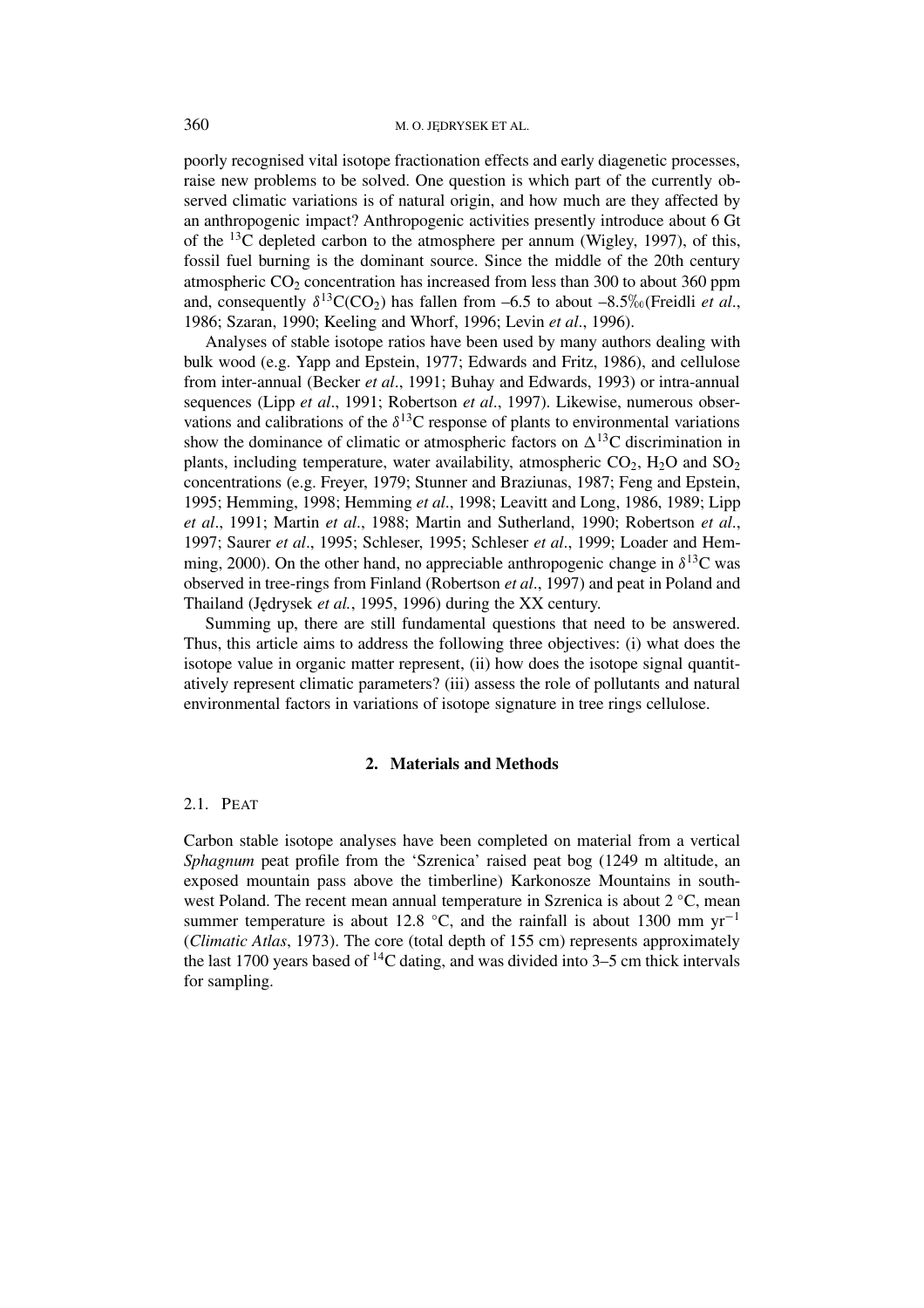poorly recognised vital isotope fractionation effects and early diagenetic processes, raise new problems to be solved. One question is which part of the currently observed climatic variations is of natural origin, and how much are they affected by an anthropogenic impact? Anthropogenic activities presently introduce about 6 Gt of the  $^{13}$ C depleted carbon to the atmosphere per annum (Wigley, 1997), of this, fossil fuel burning is the dominant source. Since the middle of the 20th century atmospheric  $CO<sub>2</sub>$  concentration has increased from less than 300 to about 360 ppm and, consequently  $\delta^{13}C(CO_2)$  has fallen from –6.5 to about –8.5\% (Freidli *et al.*, 1986; Szaran, 1990; Keeling and Whorf, 1996; Levin *et al*., 1996).

Analyses of stable isotope ratios have been used by many authors dealing with bulk wood (e.g. Yapp and Epstein, 1977; Edwards and Fritz, 1986), and cellulose from inter-annual (Becker *et al*., 1991; Buhay and Edwards, 1993) or intra-annual sequences (Lipp *et al*., 1991; Robertson *et al*., 1997). Likewise, numerous observations and calibrations of the  $\delta^{13}$ C response of plants to environmental variations show the dominance of climatic or atmospheric factors on  $\Delta^{13}$ C discrimination in plants, including temperature, water availability, atmospheric  $CO<sub>2</sub>$ , H<sub>2</sub>O and SO<sub>2</sub> concentrations (e.g. Freyer, 1979; Stunner and Braziunas, 1987; Feng and Epstein, 1995; Hemming, 1998; Hemming *et al*., 1998; Leavitt and Long, 1986, 1989; Lipp *et al*., 1991; Martin *et al*., 1988; Martin and Sutherland, 1990; Robertson *et al*., 1997; Saurer *et al*., 1995; Schleser, 1995; Schleser *et al*., 1999; Loader and Hemming, 2000). On the other hand, no appreciable anthropogenic change in  $\delta^{13}$ C was observed in tree-rings from Finland (Robertson *et al*., 1997) and peat in Poland and Thailand (J˛edrysek *et al.*, 1995, 1996) during the XX century.

Summing up, there are still fundamental questions that need to be answered. Thus, this article aims to address the following three objectives: (i) what does the isotope value in organic matter represent, (ii) how does the isotope signal quantitatively represent climatic parameters? (iii) assess the role of pollutants and natural environmental factors in variations of isotope signature in tree rings cellulose.

#### **2. Materials and Methods**

## 2.1. PEAT

Carbon stable isotope analyses have been completed on material from a vertical *Sphagnum* peat profile from the 'Szrenica' raised peat bog (1249 m altitude, an exposed mountain pass above the timberline) Karkonosze Mountains in southwest Poland. The recent mean annual temperature in Szrenica is about 2 ℃, mean summer temperature is about 12.8 °C, and the rainfall is about 1300 mm yr<sup>-1</sup> (*Climatic Atlas*, 1973). The core (total depth of 155 cm) represents approximately the last 1700 years based of  ${}^{14}C$  dating, and was divided into 3–5 cm thick intervals for sampling.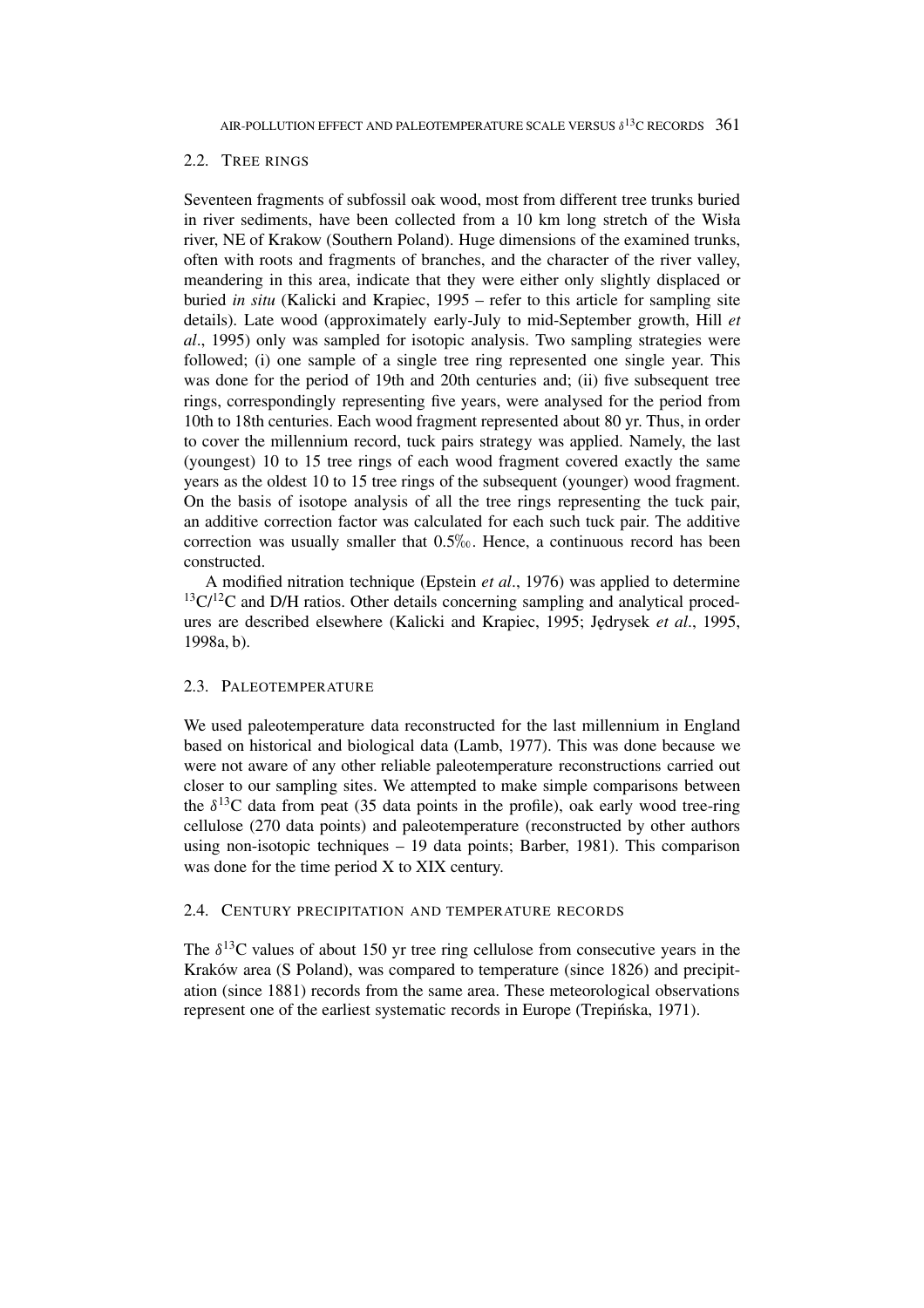### 2.2. TREE RINGS

Seventeen fragments of subfossil oak wood, most from different tree trunks buried in river sediments, have been collected from a 10 km long stretch of the Wisła river, NE of Krakow (Southern Poland). Huge dimensions of the examined trunks, often with roots and fragments of branches, and the character of the river valley, meandering in this area, indicate that they were either only slightly displaced or buried *in situ* (Kalicki and Krapiec, 1995 – refer to this article for sampling site details). Late wood (approximately early-July to mid-September growth, Hill *et al*., 1995) only was sampled for isotopic analysis. Two sampling strategies were followed; (i) one sample of a single tree ring represented one single year. This was done for the period of 19th and 20th centuries and; (ii) five subsequent tree rings, correspondingly representing five years, were analysed for the period from 10th to 18th centuries. Each wood fragment represented about 80 yr. Thus, in order to cover the millennium record, tuck pairs strategy was applied. Namely, the last (youngest) 10 to 15 tree rings of each wood fragment covered exactly the same years as the oldest 10 to 15 tree rings of the subsequent (younger) wood fragment. On the basis of isotope analysis of all the tree rings representing the tuck pair, an additive correction factor was calculated for each such tuck pair. The additive correction was usually smaller that  $0.5\%$ . Hence, a continuous record has been constructed.

A modified nitration technique (Epstein *et al*., 1976) was applied to determine  $13C/12C$  and D/H ratios. Other details concerning sampling and analytical procedures are described elsewhere (Kalicki and Krapiec, 1995; Jedrysek *et al.*, 1995, 1998a, b).

### 2.3. PALEOTEMPERATURE

We used paleotemperature data reconstructed for the last millennium in England based on historical and biological data (Lamb, 1977). This was done because we were not aware of any other reliable paleotemperature reconstructions carried out closer to our sampling sites. We attempted to make simple comparisons between the  $\delta^{13}$ C data from peat (35 data points in the profile), oak early wood tree-ring cellulose (270 data points) and paleotemperature (reconstructed by other authors using non-isotopic techniques – 19 data points; Barber, 1981). This comparison was done for the time period X to XIX century.

### 2.4. CENTURY PRECIPITATION AND TEMPERATURE RECORDS

The  $\delta^{13}$ C values of about 150 yr tree ring cellulose from consecutive years in the Kraków area (S Poland), was compared to temperature (since 1826) and precipitation (since 1881) records from the same area. These meteorological observations represent one of the earliest systematic records in Europe (Trepinska, 1971).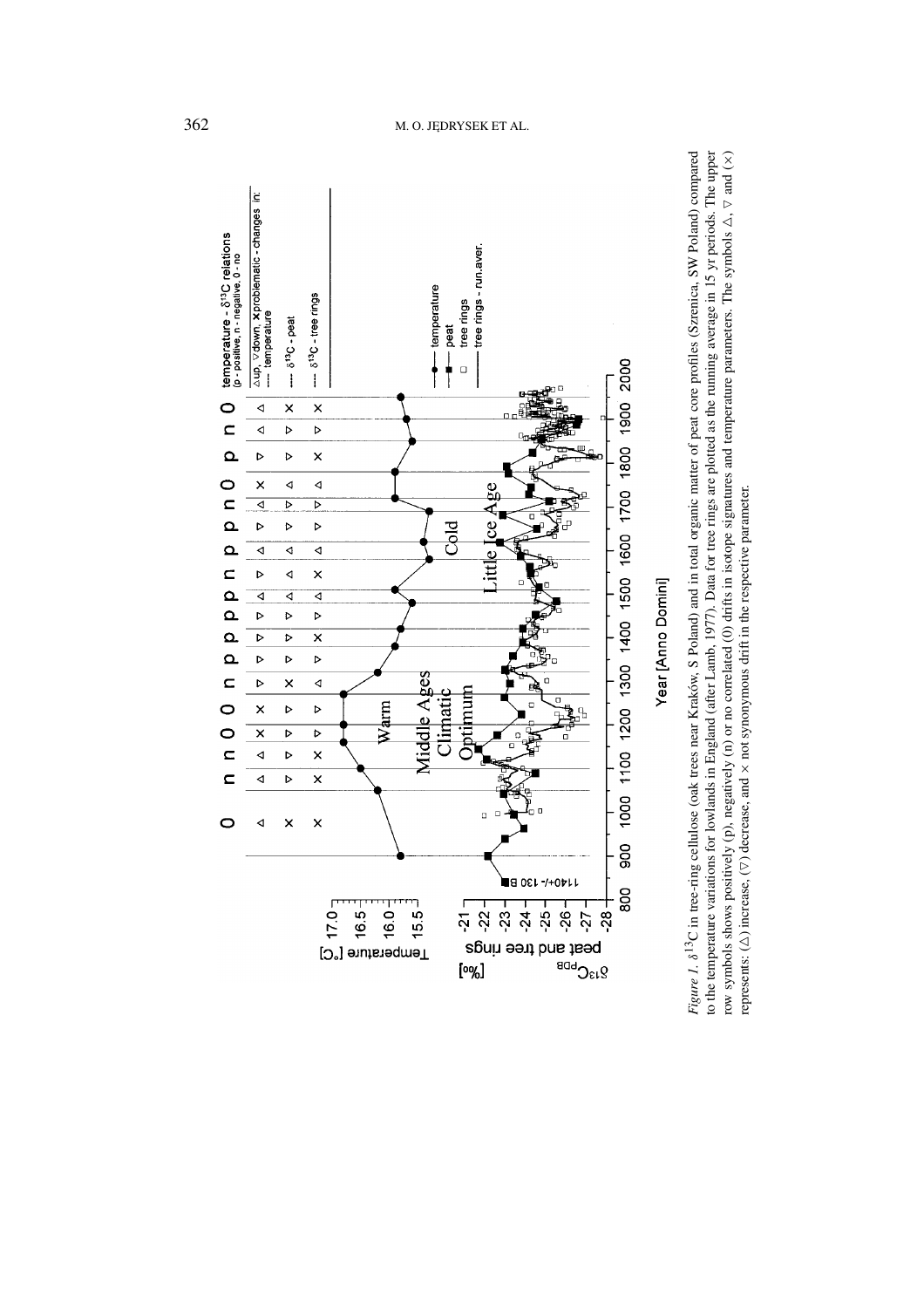

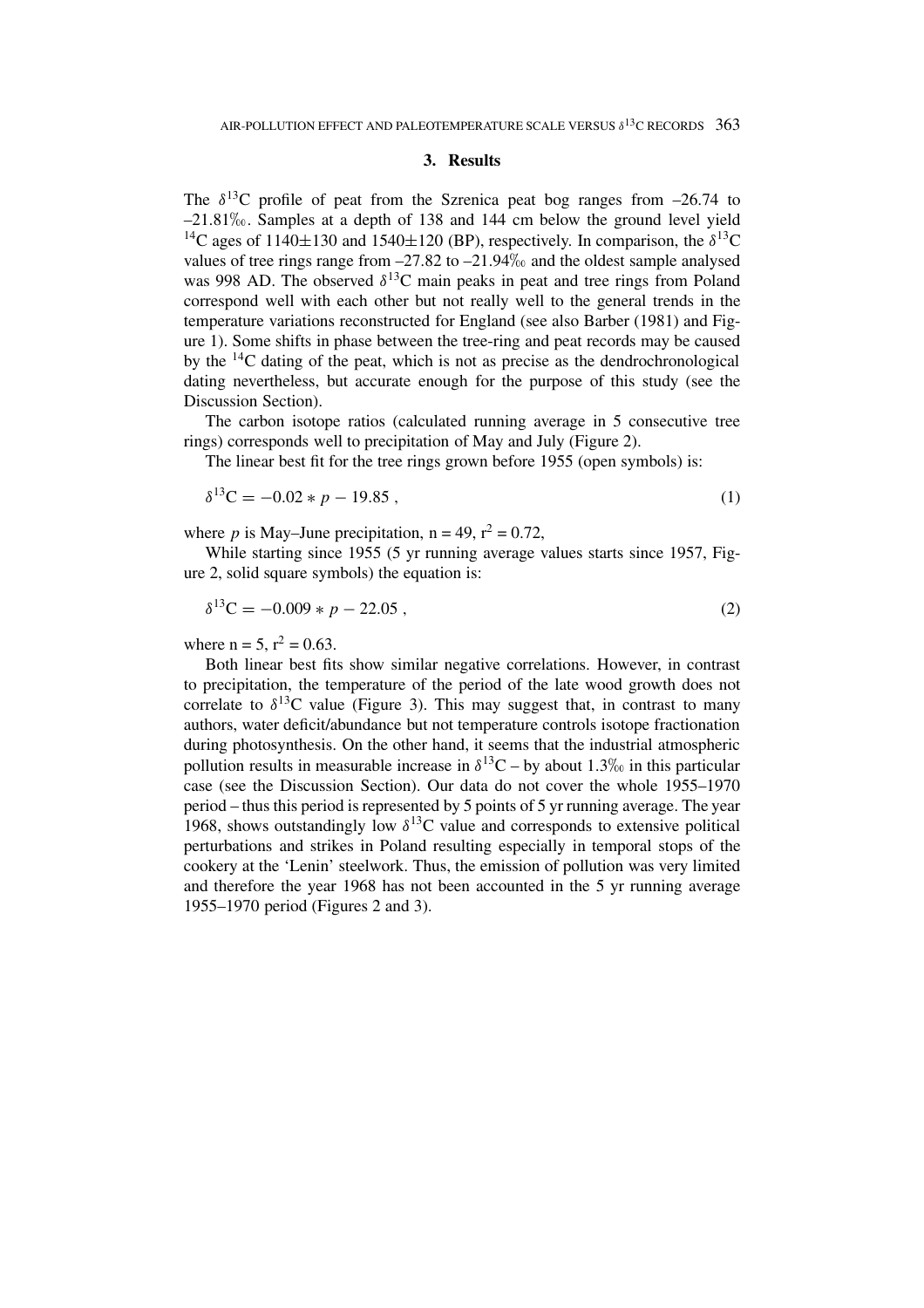### **3. Results**

The  $\delta^{13}$ C profile of peat from the Szrenica peat bog ranges from  $-26.74$  to  $-21.81\%$ . Samples at a depth of 138 and 144 cm below the ground level yield <sup>14</sup>C ages of 1140 $\pm$ 130 and 1540 $\pm$ 120 (BP), respectively. In comparison, the  $\delta^{13}$ C values of tree rings range from  $-27.82$  to  $-21.94\%$  and the oldest sample analysed was 998 AD. The observed  $\delta^{13}$ C main peaks in peat and tree rings from Poland correspond well with each other but not really well to the general trends in the temperature variations reconstructed for England (see also Barber (1981) and Figure 1). Some shifts in phase between the tree-ring and peat records may be caused by the 14C dating of the peat, which is not as precise as the dendrochronological dating nevertheless, but accurate enough for the purpose of this study (see the Discussion Section).

The carbon isotope ratios (calculated running average in 5 consecutive tree rings) corresponds well to precipitation of May and July (Figure 2).

The linear best fit for the tree rings grown before 1955 (open symbols) is:

$$
\delta^{13}C = -0.02 \times p - 19.85 \tag{1}
$$

where *p* is May–June precipitation,  $n = 49$ ,  $r^2 = 0.72$ .

While starting since 1955 (5 yr running average values starts since 1957, Figure 2, solid square symbols) the equation is:

$$
\delta^{13}C = -0.009 \times p - 22.05 \tag{2}
$$

where  $n = 5$ ,  $r^2 = 0.63$ .

Both linear best fits show similar negative correlations. However, in contrast to precipitation, the temperature of the period of the late wood growth does not correlate to  $\delta^{13}$ C value (Figure 3). This may suggest that, in contrast to many authors, water deficit/abundance but not temperature controls isotope fractionation during photosynthesis. On the other hand, it seems that the industrial atmospheric pollution results in measurable increase in  $\delta^{13}$ C – by about 1.3\% in this particular case (see the Discussion Section). Our data do not cover the whole 1955–1970 period – thus this period is represented by 5 points of 5 yr running average. The year 1968, shows outstandingly low  $\delta^{13}$ C value and corresponds to extensive political perturbations and strikes in Poland resulting especially in temporal stops of the cookery at the 'Lenin' steelwork. Thus, the emission of pollution was very limited and therefore the year 1968 has not been accounted in the 5 yr running average 1955–1970 period (Figures 2 and 3).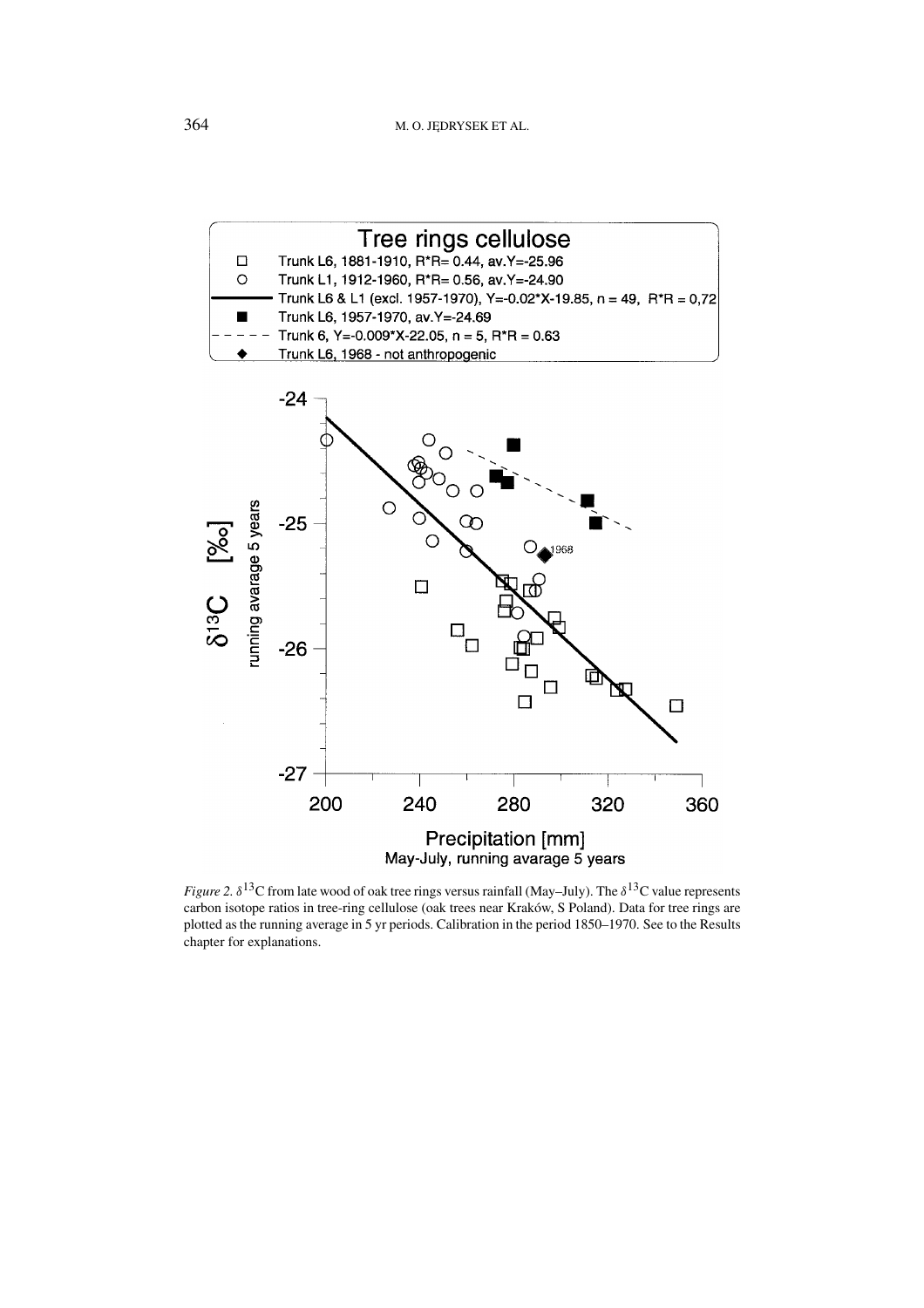

*Figure 2.*  $\delta^{13}$ C from late wood of oak tree rings versus rainfall (May–July). The  $\delta^{13}$ C value represents carbon isotope ratios in tree-ring cellulose (oak trees near Kraków, S Poland). Data for tree rings are plotted as the running average in 5 yr periods. Calibration in the period 1850–1970. See to the Results chapter for explanations.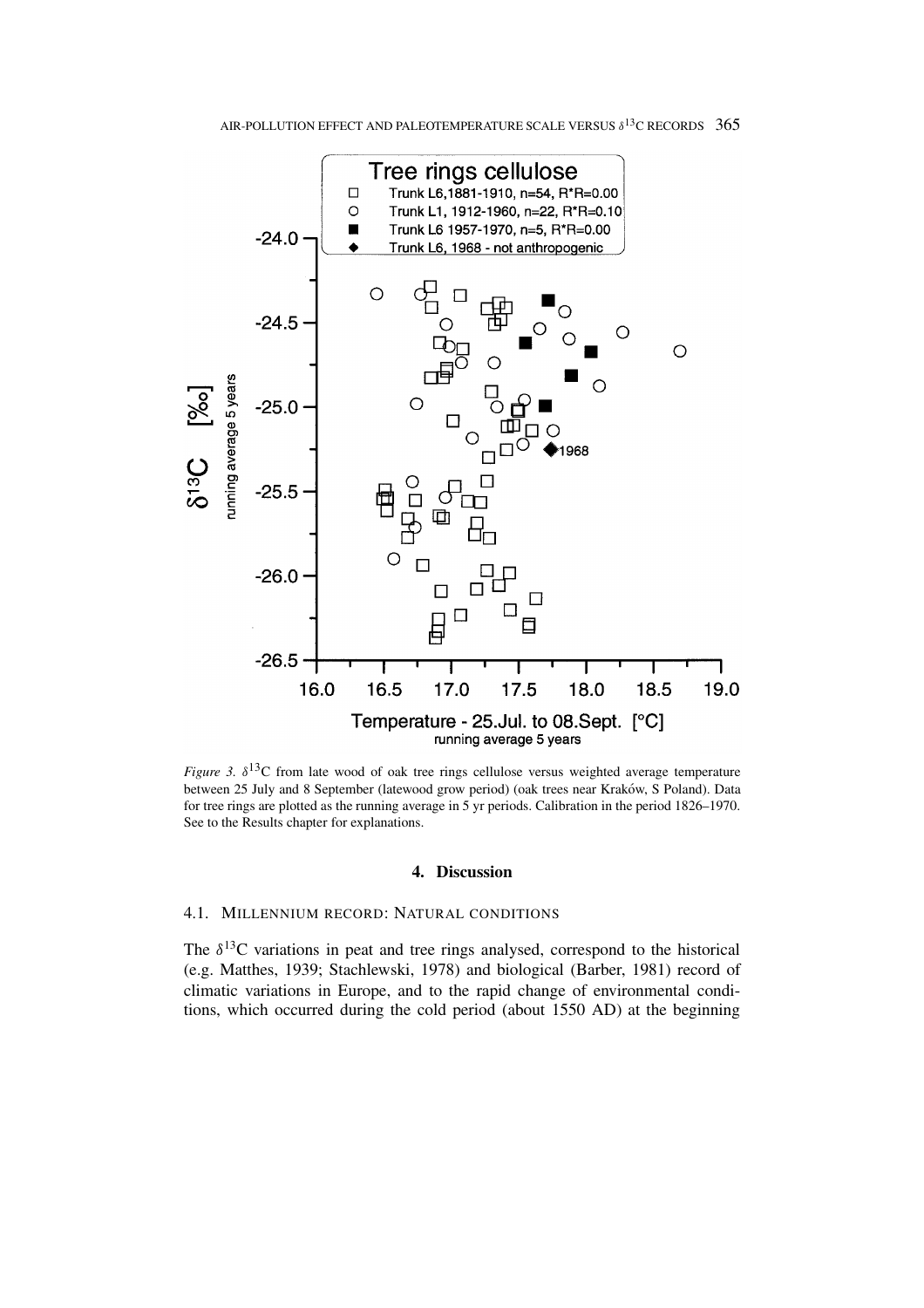

*Figure 3.*  $\delta^{13}$ C from late wood of oak tree rings cellulose versus weighted average temperature between 25 July and 8 September (latewood grow period) (oak trees near Kraków, S Poland). Data for tree rings are plotted as the running average in 5 yr periods. Calibration in the period 1826–1970. See to the Results chapter for explanations.

### **4. Discussion**

## 4.1. MILLENNIUM RECORD: NATURAL CONDITIONS

The  $\delta^{13}$ C variations in peat and tree rings analysed, correspond to the historical (e.g. Matthes, 1939; Stachlewski, 1978) and biological (Barber, 1981) record of climatic variations in Europe, and to the rapid change of environmental conditions, which occurred during the cold period (about 1550 AD) at the beginning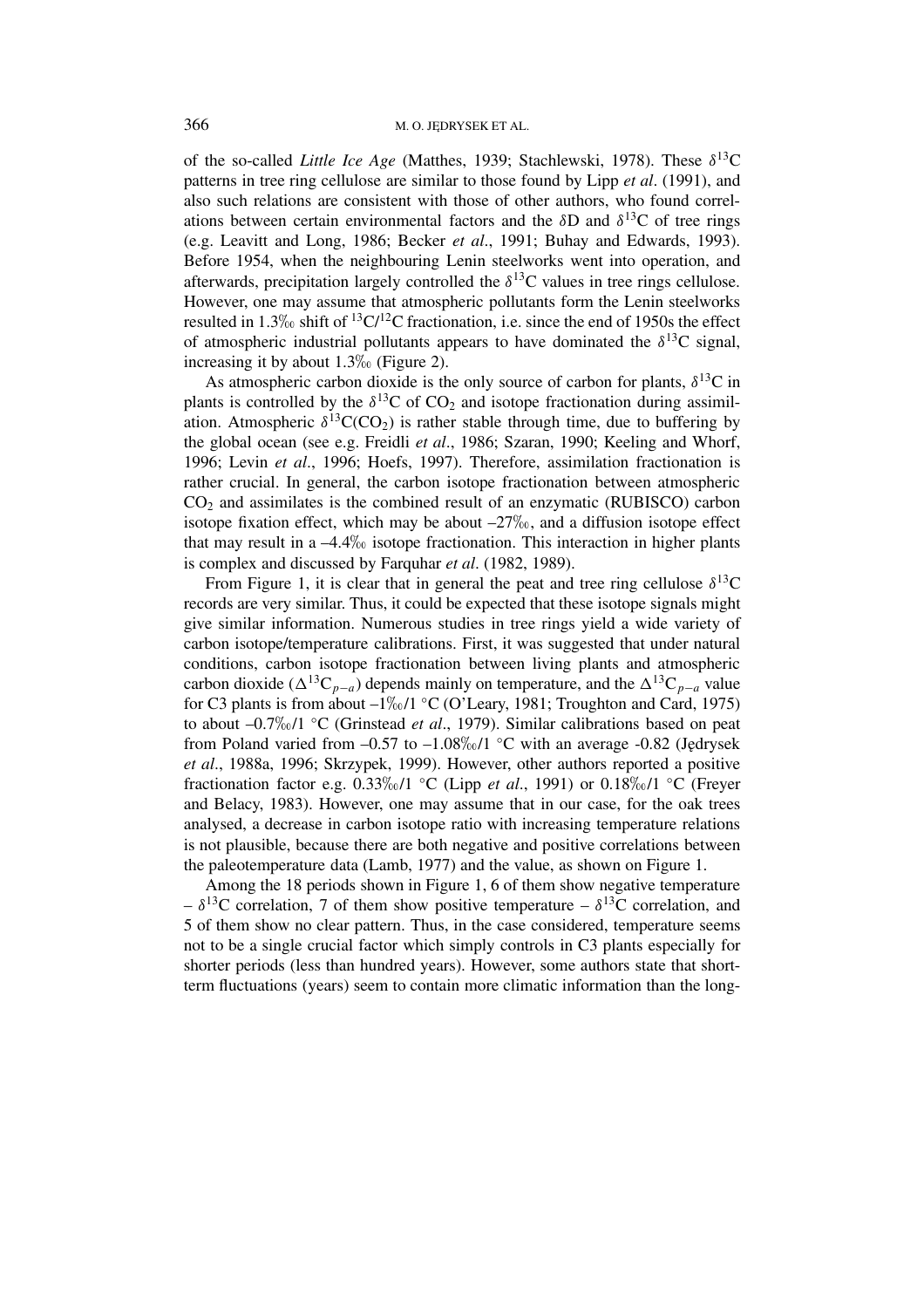of the so-called *Little Ice Age* (Matthes, 1939; Stachlewski, 1978). These *δ*13C patterns in tree ring cellulose are similar to those found by Lipp *et al*. (1991), and also such relations are consistent with those of other authors, who found correlations between certain environmental factors and the  $\delta$ D and  $\delta$ <sup>13</sup>C of tree rings (e.g. Leavitt and Long, 1986; Becker *et al*., 1991; Buhay and Edwards, 1993). Before 1954, when the neighbouring Lenin steelworks went into operation, and afterwards, precipitation largely controlled the  $\delta^{13}$ C values in tree rings cellulose. However, one may assume that atmospheric pollutants form the Lenin steelworks resulted in 1.3\% shift of  ${}^{13}C/{}^{12}C$  fractionation, i.e. since the end of 1950s the effect of atmospheric industrial pollutants appears to have dominated the  $\delta^{13}$ C signal, increasing it by about  $1.3\%$  (Figure 2).

As atmospheric carbon dioxide is the only source of carbon for plants,  $\delta^{13}$ C in plants is controlled by the  $\delta^{13}$ C of CO<sub>2</sub> and isotope fractionation during assimilation. Atmospheric  $\delta^{13}C(CO_2)$  is rather stable through time, due to buffering by the global ocean (see e.g. Freidli *et al*., 1986; Szaran, 1990; Keeling and Whorf, 1996; Levin *et al*., 1996; Hoefs, 1997). Therefore, assimilation fractionation is rather crucial. In general, the carbon isotope fractionation between atmospheric  $CO<sub>2</sub>$  and assimilates is the combined result of an enzymatic (RUBISCO) carbon isotope fixation effect, which may be about  $-27\%$ <sub>0</sub>, and a diffusion isotope effect that may result in a  $-4.4\%$  isotope fractionation. This interaction in higher plants is complex and discussed by Farquhar *et al*. (1982, 1989).

From Figure 1, it is clear that in general the peat and tree ring cellulose  $\delta^{13}$ C records are very similar. Thus, it could be expected that these isotope signals might give similar information. Numerous studies in tree rings yield a wide variety of carbon isotope/temperature calibrations. First, it was suggested that under natural conditions, carbon isotope fractionation between living plants and atmospheric carbon dioxide ( $\Delta^{13}C_{p-a}$ ) depends mainly on temperature, and the  $\Delta^{13}C_{p-a}$  value for C3 plants is from about  $-1\%0/1$  °C (O'Leary, 1981; Troughton and Card, 1975) to about –0.7‰/1 ℃ (Grinstead *et al.*, 1979). Similar calibrations based on peat from Poland varied from  $-0.57$  to  $-1.08\%$  <sup>o</sup>C with an average  $-0.82$  (Jędrysek *et al*., 1988a, 1996; Skrzypek, 1999). However, other authors reported a positive fractionation factor e.g. 0.33/1 ◦C (Lipp *et al*., 1991) or 0.18/1 ◦C (Freyer and Belacy, 1983). However, one may assume that in our case, for the oak trees analysed, a decrease in carbon isotope ratio with increasing temperature relations is not plausible, because there are both negative and positive correlations between the paleotemperature data (Lamb, 1977) and the value, as shown on Figure 1.

Among the 18 periods shown in Figure 1, 6 of them show negative temperature  $-\delta^{13}$ C correlation, 7 of them show positive temperature  $-\delta^{13}$ C correlation, and 5 of them show no clear pattern. Thus, in the case considered, temperature seems not to be a single crucial factor which simply controls in C3 plants especially for shorter periods (less than hundred years). However, some authors state that shortterm fluctuations (years) seem to contain more climatic information than the long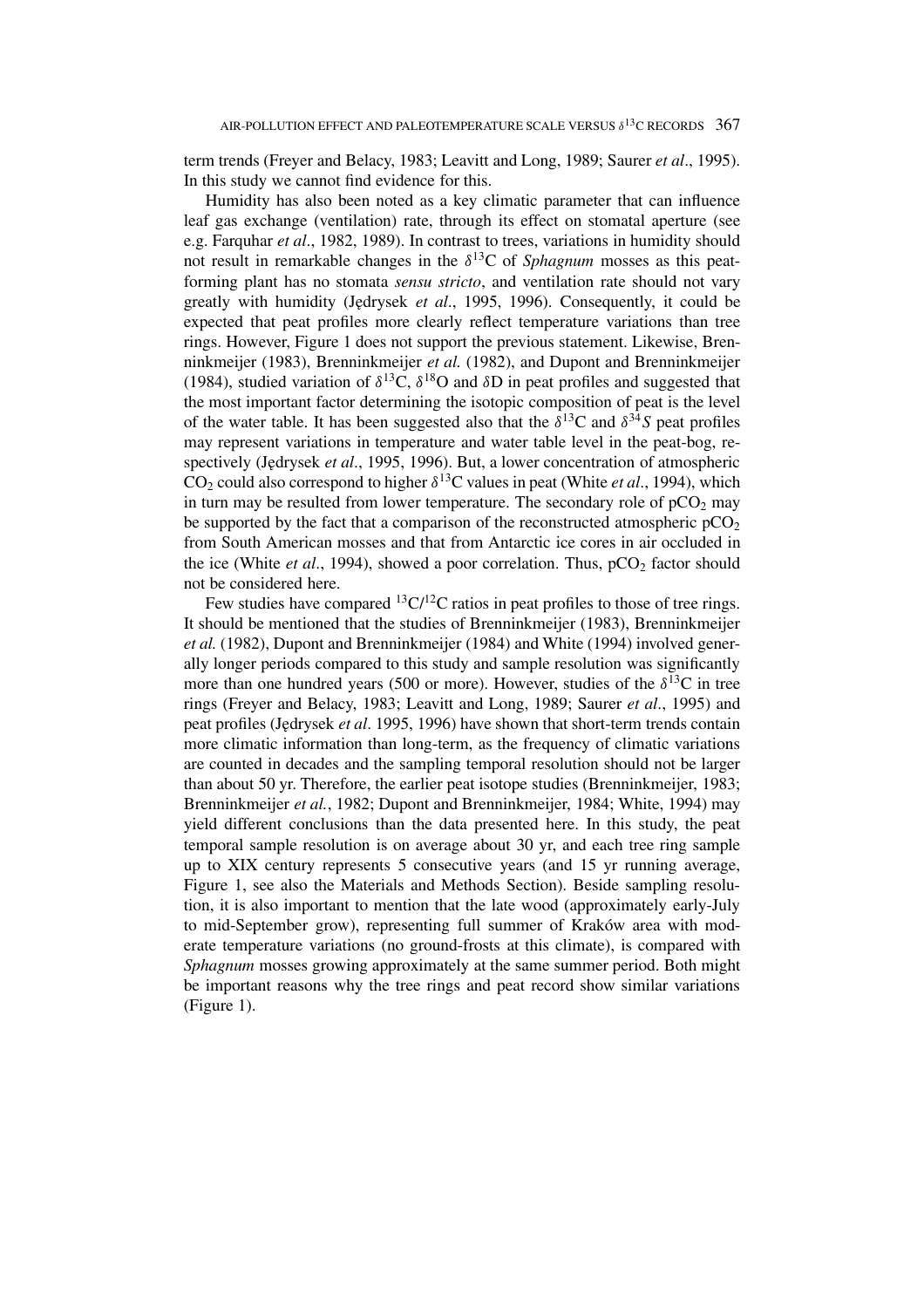term trends (Freyer and Belacy, 1983; Leavitt and Long, 1989; Saurer *et al*., 1995). In this study we cannot find evidence for this.

Humidity has also been noted as a key climatic parameter that can influence leaf gas exchange (ventilation) rate, through its effect on stomatal aperture (see e.g. Farquhar *et al*., 1982, 1989). In contrast to trees, variations in humidity should not result in remarkable changes in the *δ*13C of *Sphagnum* mosses as this peatforming plant has no stomata *sensu stricto*, and ventilation rate should not vary greatly with humidity (Jędrysek *et al.*, 1995, 1996). Consequently, it could be expected that peat profiles more clearly reflect temperature variations than tree rings. However, Figure 1 does not support the previous statement. Likewise, Brenninkmeijer (1983), Brenninkmeijer *et al.* (1982), and Dupont and Brenninkmeijer (1984), studied variation of  $\delta^{13}C$ ,  $\delta^{18}O$  and  $\delta D$  in peat profiles and suggested that the most important factor determining the isotopic composition of peat is the level of the water table. It has been suggested also that the  $\delta^{13}C$  and  $\delta^{34}S$  peat profiles may represent variations in temperature and water table level in the peat-bog, respectively (J˛edrysek *et al*., 1995, 1996). But, a lower concentration of atmospheric CO<sub>2</sub> could also correspond to higher  $\delta^{13}$ C values in peat (White *et al.*, 1994), which in turn may be resulted from lower temperature. The secondary role of  $pCO<sub>2</sub>$  may be supported by the fact that a comparison of the reconstructed atmospheric  $pCO<sub>2</sub>$ from South American mosses and that from Antarctic ice cores in air occluded in the ice (White *et al.*, 1994), showed a poor correlation. Thus,  $pCO_2$  factor should not be considered here.

Few studies have compared  ${}^{13}C/{}^{12}C$  ratios in peat profiles to those of tree rings. It should be mentioned that the studies of Brenninkmeijer (1983), Brenninkmeijer *et al.* (1982), Dupont and Brenninkmeijer (1984) and White (1994) involved generally longer periods compared to this study and sample resolution was significantly more than one hundred years (500 or more). However, studies of the  $\delta^{13}$ C in tree rings (Freyer and Belacy, 1983; Leavitt and Long, 1989; Saurer *et al*., 1995) and peat profiles (J˛edrysek *et al*. 1995, 1996) have shown that short-term trends contain more climatic information than long-term, as the frequency of climatic variations are counted in decades and the sampling temporal resolution should not be larger than about 50 yr. Therefore, the earlier peat isotope studies (Brenninkmeijer, 1983; Brenninkmeijer *et al.*, 1982; Dupont and Brenninkmeijer, 1984; White, 1994) may yield different conclusions than the data presented here. In this study, the peat temporal sample resolution is on average about 30 yr, and each tree ring sample up to XIX century represents 5 consecutive years (and 15 yr running average, Figure 1, see also the Materials and Methods Section). Beside sampling resolution, it is also important to mention that the late wood (approximately early-July to mid-September grow), representing full summer of Kraków area with moderate temperature variations (no ground-frosts at this climate), is compared with *Sphagnum* mosses growing approximately at the same summer period. Both might be important reasons why the tree rings and peat record show similar variations (Figure 1).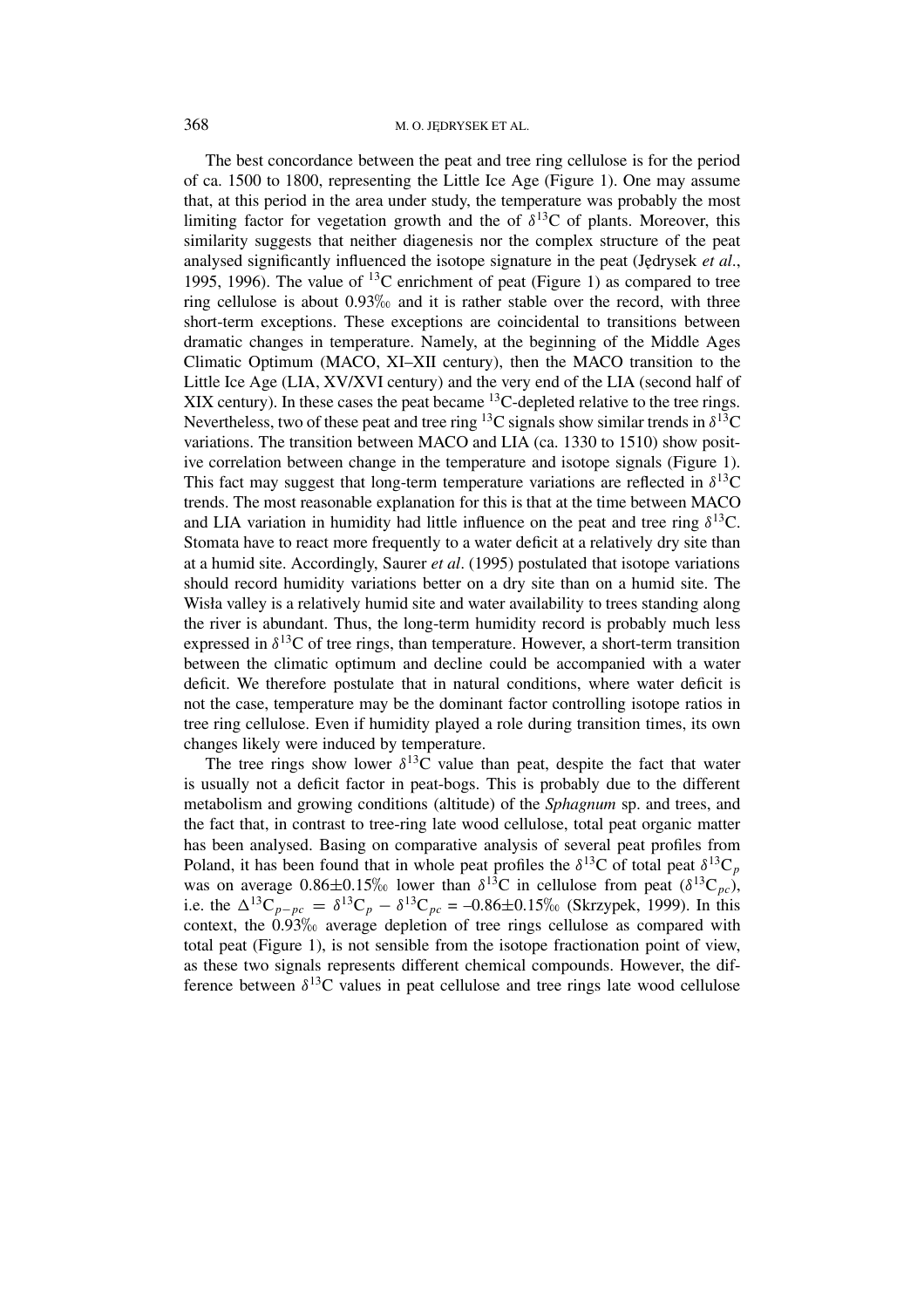The best concordance between the peat and tree ring cellulose is for the period of ca. 1500 to 1800, representing the Little Ice Age (Figure 1). One may assume that, at this period in the area under study, the temperature was probably the most limiting factor for vegetation growth and the of  $\delta^{13}$ C of plants. Moreover, this similarity suggests that neither diagenesis nor the complex structure of the peat analysed significantly influenced the isotope signature in the peat (Jedrysek *et al.*, 1995, 1996). The value of <sup>13</sup>C enrichment of peat (Figure 1) as compared to tree ring cellulose is about  $0.93\%$  and it is rather stable over the record, with three short-term exceptions. These exceptions are coincidental to transitions between dramatic changes in temperature. Namely, at the beginning of the Middle Ages Climatic Optimum (MACO, XI–XII century), then the MACO transition to the Little Ice Age (LIA, XV/XVI century) and the very end of the LIA (second half of XIX century). In these cases the peat became  $^{13}$ C-depleted relative to the tree rings. Nevertheless, two of these peat and tree ring <sup>13</sup>C signals show similar trends in  $\delta^{13}C$ variations. The transition between MACO and LIA (ca. 1330 to 1510) show positive correlation between change in the temperature and isotope signals (Figure 1). This fact may suggest that long-term temperature variations are reflected in  $\delta^{13}C$ trends. The most reasonable explanation for this is that at the time between MACO and LIA variation in humidity had little influence on the peat and tree ring  $\delta^{13}$ C. Stomata have to react more frequently to a water deficit at a relatively dry site than at a humid site. Accordingly, Saurer *et al*. (1995) postulated that isotope variations should record humidity variations better on a dry site than on a humid site. The Wisła valley is a relatively humid site and water availability to trees standing along the river is abundant. Thus, the long-term humidity record is probably much less expressed in  $\delta^{13}$ C of tree rings, than temperature. However, a short-term transition between the climatic optimum and decline could be accompanied with a water deficit. We therefore postulate that in natural conditions, where water deficit is not the case, temperature may be the dominant factor controlling isotope ratios in tree ring cellulose. Even if humidity played a role during transition times, its own changes likely were induced by temperature.

The tree rings show lower  $\delta^{13}$ C value than peat, despite the fact that water is usually not a deficit factor in peat-bogs. This is probably due to the different metabolism and growing conditions (altitude) of the *Sphagnum* sp. and trees, and the fact that, in contrast to tree-ring late wood cellulose, total peat organic matter has been analysed. Basing on comparative analysis of several peat profiles from Poland, it has been found that in whole peat profiles the  $\delta^{13}C$  of total peat  $\delta^{13}C_p$ was on average  $0.86\pm0.15\%$  lower than  $\delta^{13}$ C in cellulose from peat  $(\delta^{13}C_{pc})$ , i.e. the  $\Delta^{13}C_{p-pc} = \delta^{13}C_p - \delta^{13}C_{pc} = -0.86 \pm 0.15\%$  (Skrzypek, 1999). In this context, the 0.93% average depletion of tree rings cellulose as compared with total peat (Figure 1), is not sensible from the isotope fractionation point of view, as these two signals represents different chemical compounds. However, the difference between  $\delta^{13}$ C values in peat cellulose and tree rings late wood cellulose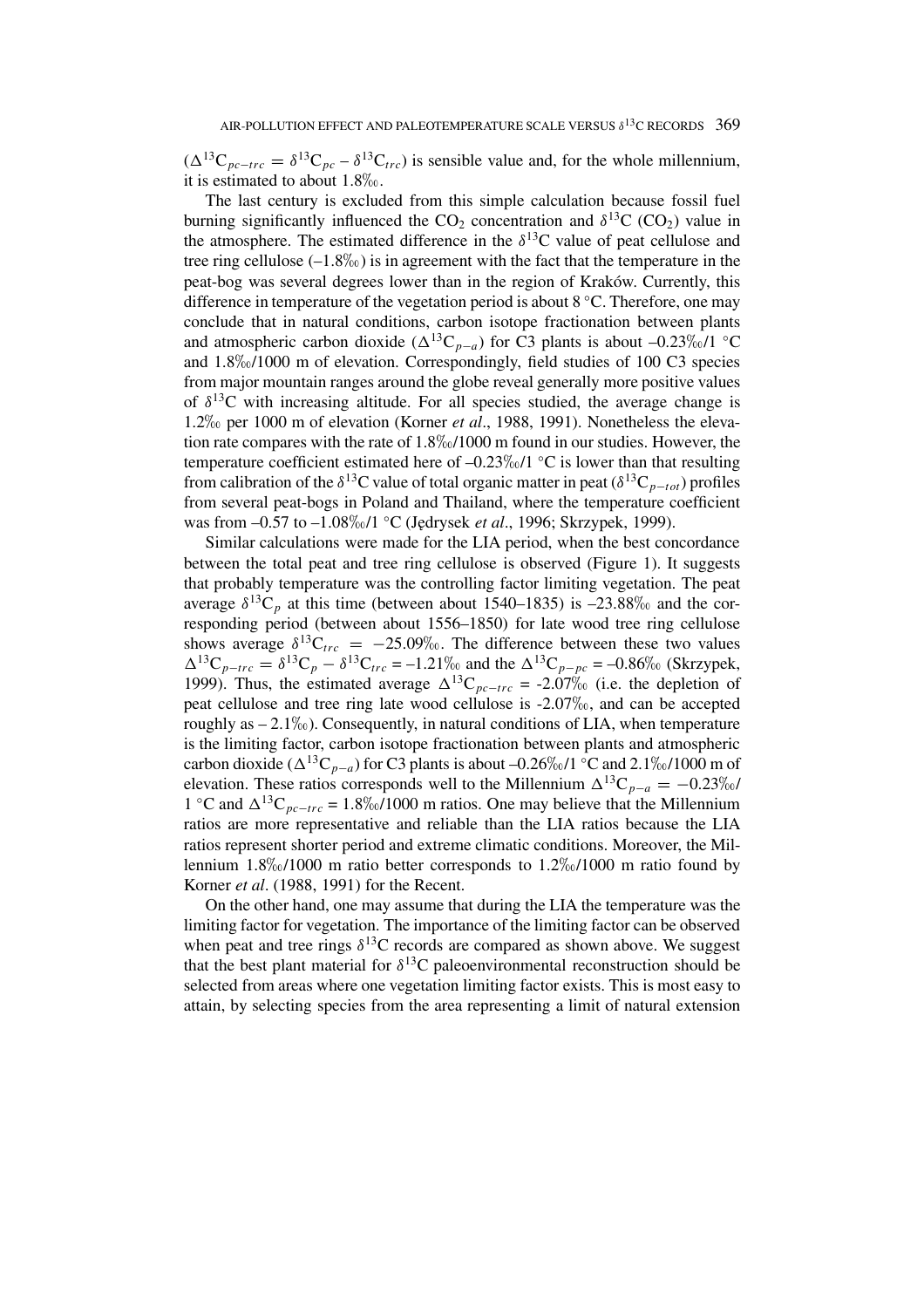$(\Delta^{13}C_{pc-trc} = \delta^{13}C_{pc} - \delta^{13}C_{trc})$  is sensible value and, for the whole millennium, it is estimated to about  $1.8\%$ .

The last century is excluded from this simple calculation because fossil fuel burning significantly influenced the  $CO_2$  concentration and  $\delta^{13}C$  (CO<sub>2</sub>) value in the atmosphere. The estimated difference in the  $\delta^{13}$ C value of peat cellulose and tree ring cellulose  $(-1.8\%)$  is in agreement with the fact that the temperature in the peat-bog was several degrees lower than in the region of Kraków. Currently, this difference in temperature of the vegetation period is about 8 ◦C. Therefore, one may conclude that in natural conditions, carbon isotope fractionation between plants and atmospheric carbon dioxide  $({\Delta}^{13}C_{p-a})$  for C3 plants is about –0.23\% o/1 °C and  $1.8\%$   $/1000$  m of elevation. Correspondingly, field studies of 100 C3 species from major mountain ranges around the globe reveal generally more positive values of  $\delta^{13}$ C with increasing altitude. For all species studied, the average change is 1.2\% per 1000 m of elevation (Korner *et al.*, 1988, 1991). Nonetheless the elevation rate compares with the rate of  $1.8\%/1000$  m found in our studies. However, the temperature coefficient estimated here of  $-0.23\%$  <sup>o</sup>C is lower than that resulting from calibration of the  $\delta^{13}C$  value of total organic matter in peat ( $\delta^{13}C_{p-\alpha t}$ ) profiles from several peat-bogs in Poland and Thailand, where the temperature coefficient was from –0.57 to –1.08‰/1 °C (Jędrysek *et al.*, 1996; Skrzypek, 1999).

Similar calculations were made for the LIA period, when the best concordance between the total peat and tree ring cellulose is observed (Figure 1). It suggests that probably temperature was the controlling factor limiting vegetation. The peat average  $\delta^{13}C_p$  at this time (between about 1540–1835) is –23.88\% and the corresponding period (between about 1556–1850) for late wood tree ring cellulose shows average  $\delta^{13}C_{trc} = -25.09\%$ . The difference between these two values  $\Delta^{13}C_{p-trc} = \delta^{13}C_p - \delta^{13}C_{trc} = -1.21\%$  and the  $\Delta^{13}C_{p-pc} = -0.86\%$  (Skrzypek, 1999). Thus, the estimated average  $\Delta^{13}C_{pc-trc} = -2.07\%$  (i.e. the depletion of peat cellulose and tree ring late wood cellulose is  $-2.07\%$ <sub>0</sub>, and can be accepted roughly as  $-2.1\%$ . Consequently, in natural conditions of LIA, when temperature is the limiting factor, carbon isotope fractionation between plants and atmospheric carbon dioxide ( $\Delta^{13}C_{p-a}$ ) for C3 plants is about –0.26\%/1 °C and 2.1\%/1000 m of elevation. These ratios corresponds well to the Millennium  $\Delta^{13}C_{p-a} = -0.23\%$ 1 °C and  $\Delta^{13}C_{pc-trc}$  = 1.8‰/1000 m ratios. One may believe that the Millennium ratios are more representative and reliable than the LIA ratios because the LIA ratios represent shorter period and extreme climatic conditions. Moreover, the Millennium  $1.8\%$  (1000 m ratio better corresponds to  $1.2\%$  (1000 m ratio found by Korner *et al*. (1988, 1991) for the Recent.

On the other hand, one may assume that during the LIA the temperature was the limiting factor for vegetation. The importance of the limiting factor can be observed when peat and tree rings  $\delta^{13}$ C records are compared as shown above. We suggest that the best plant material for  $\delta^{13}$ C paleoenvironmental reconstruction should be selected from areas where one vegetation limiting factor exists. This is most easy to attain, by selecting species from the area representing a limit of natural extension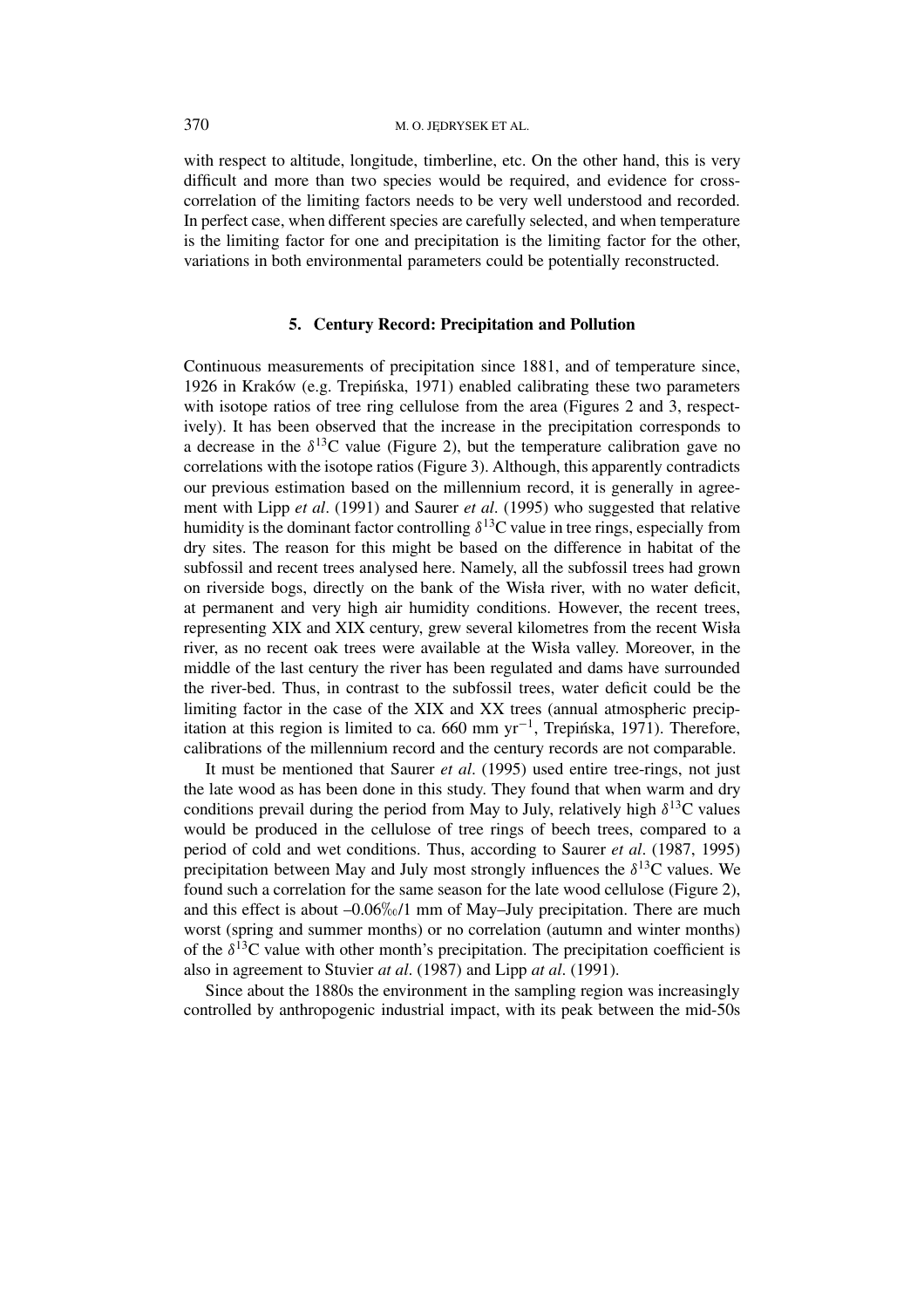with respect to altitude, longitude, timberline, etc. On the other hand, this is very difficult and more than two species would be required, and evidence for crosscorrelation of the limiting factors needs to be very well understood and recorded. In perfect case, when different species are carefully selected, and when temperature is the limiting factor for one and precipitation is the limiting factor for the other, variations in both environmental parameters could be potentially reconstructed.

### **5. Century Record: Precipitation and Pollution**

Continuous measurements of precipitation since 1881, and of temperature since, 1926 in Kraków (e.g. Trepińska, 1971) enabled calibrating these two parameters with isotope ratios of tree ring cellulose from the area (Figures 2 and 3, respectively). It has been observed that the increase in the precipitation corresponds to a decrease in the  $\delta^{13}$ C value (Figure 2), but the temperature calibration gave no correlations with the isotope ratios (Figure 3). Although, this apparently contradicts our previous estimation based on the millennium record, it is generally in agreement with Lipp *et al*. (1991) and Saurer *et al*. (1995) who suggested that relative humidity is the dominant factor controlling  $\delta^{13}$ C value in tree rings, especially from dry sites. The reason for this might be based on the difference in habitat of the subfossil and recent trees analysed here. Namely, all the subfossil trees had grown on riverside bogs, directly on the bank of the Wisła river, with no water deficit, at permanent and very high air humidity conditions. However, the recent trees, representing XIX and XIX century, grew several kilometres from the recent Wisła river, as no recent oak trees were available at the Wisła valley. Moreover, in the middle of the last century the river has been regulated and dams have surrounded the river-bed. Thus, in contrast to the subfossil trees, water deficit could be the limiting factor in the case of the XIX and XX trees (annual atmospheric precipitation at this region is limited to ca. 660 mm  $vr^{-1}$ , Trepinska, 1971). Therefore, calibrations of the millennium record and the century records are not comparable.

It must be mentioned that Saurer *et al*. (1995) used entire tree-rings, not just the late wood as has been done in this study. They found that when warm and dry conditions prevail during the period from May to July, relatively high  $\delta^{13}C$  values would be produced in the cellulose of tree rings of beech trees, compared to a period of cold and wet conditions. Thus, according to Saurer *et al*. (1987, 1995) precipitation between May and July most strongly influences the  $\delta^{13}$ C values. We found such a correlation for the same season for the late wood cellulose (Figure 2), and this effect is about  $-0.06\%$  /1 mm of May–July precipitation. There are much worst (spring and summer months) or no correlation (autumn and winter months) of the  $\delta^{13}$ C value with other month's precipitation. The precipitation coefficient is also in agreement to Stuvier *at al*. (1987) and Lipp *at al*. (1991).

Since about the 1880s the environment in the sampling region was increasingly controlled by anthropogenic industrial impact, with its peak between the mid-50s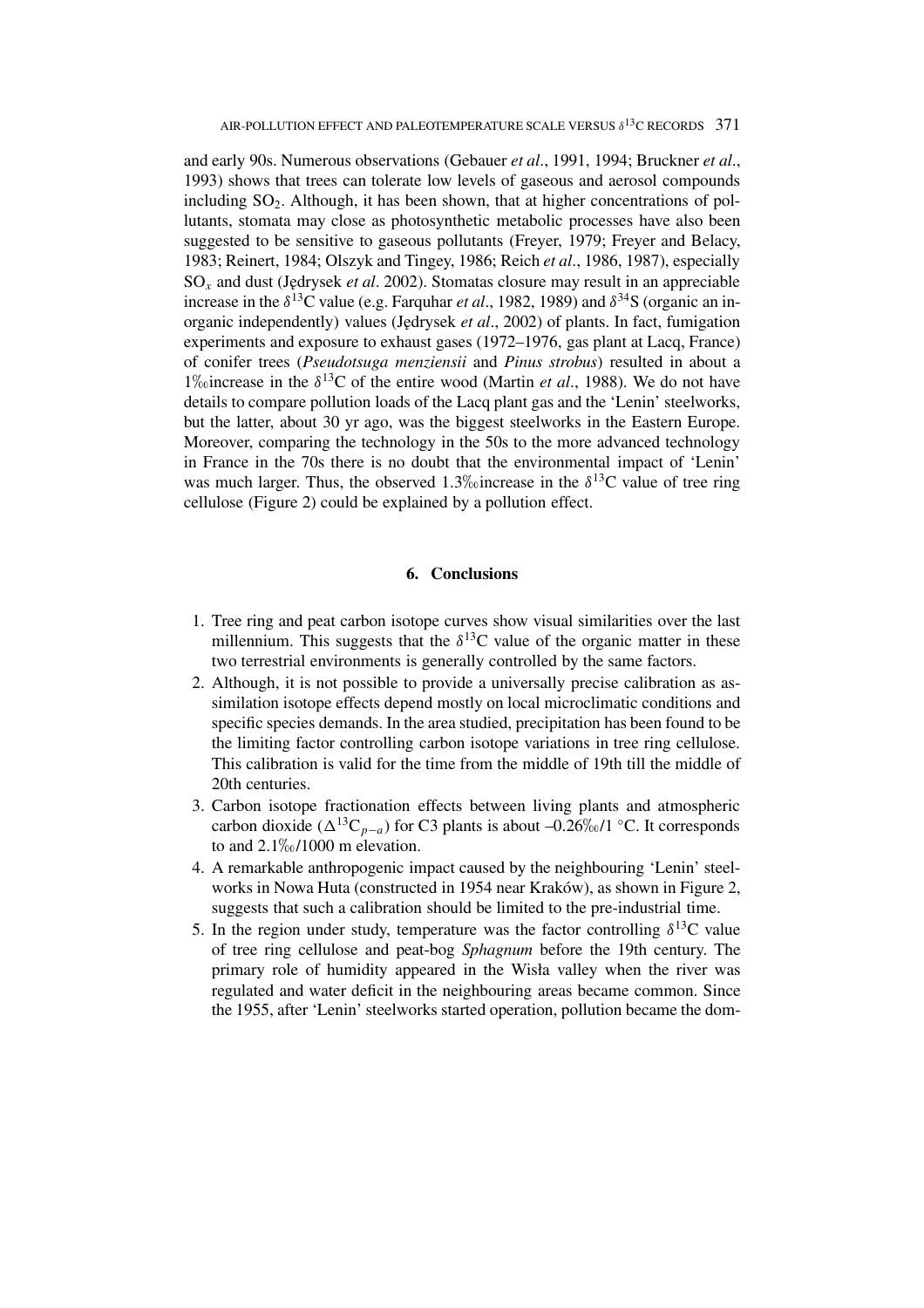and early 90s. Numerous observations (Gebauer *et al*., 1991, 1994; Bruckner *et al*., 1993) shows that trees can tolerate low levels of gaseous and aerosol compounds including  $SO<sub>2</sub>$ . Although, it has been shown, that at higher concentrations of pollutants, stomata may close as photosynthetic metabolic processes have also been suggested to be sensitive to gaseous pollutants (Freyer, 1979; Freyer and Belacy, 1983; Reinert, 1984; Olszyk and Tingey, 1986; Reich *et al*., 1986, 1987), especially SO*<sup>x</sup>* and dust (J˛edrysek *et al*. 2002). Stomatas closure may result in an appreciable increase in the  $\delta^{13}$ C value (e.g. Farquhar *et al.*, 1982, 1989) and  $\delta^{34}$ S (organic an inorganic independently) values (J˛edrysek *et al*., 2002) of plants. In fact, fumigation experiments and exposure to exhaust gases (1972–1976, gas plant at Lacq, France) of conifer trees (*Pseudotsuga menziensii* and *Pinus strobus*) resulted in about a 1\% 1\% 1\% 1\% 0 increase in the  $\delta^{13}$ C of the entire wood (Martin *et al.*, 1988). We do not have details to compare pollution loads of the Lacq plant gas and the 'Lenin' steelworks, but the latter, about 30 yr ago, was the biggest steelworks in the Eastern Europe. Moreover, comparing the technology in the 50s to the more advanced technology in France in the 70s there is no doubt that the environmental impact of 'Lenin' was much larger. Thus, the observed 1.3<sup> $\%$ </sup> oincrease in the  $\delta$ <sup>13</sup>C value of tree ring cellulose (Figure 2) could be explained by a pollution effect.

### **6. Conclusions**

- 1. Tree ring and peat carbon isotope curves show visual similarities over the last millennium. This suggests that the  $\delta^{13}$ C value of the organic matter in these two terrestrial environments is generally controlled by the same factors.
- 2. Although, it is not possible to provide a universally precise calibration as assimilation isotope effects depend mostly on local microclimatic conditions and specific species demands. In the area studied, precipitation has been found to be the limiting factor controlling carbon isotope variations in tree ring cellulose. This calibration is valid for the time from the middle of 19th till the middle of 20th centuries.
- 3. Carbon isotope fractionation effects between living plants and atmospheric carbon dioxide  $({\Delta}^{13}C_{p-a})$  for C3 plants is about –0.26‰/1 °C. It corresponds to and  $2.1\%$ <sub>0</sub> $/1000$  m elevation.
- 4. A remarkable anthropogenic impact caused by the neighbouring 'Lenin' steelworks in Nowa Huta (constructed in 1954 near Kraków), as shown in Figure 2, suggests that such a calibration should be limited to the pre-industrial time.
- 5. In the region under study, temperature was the factor controlling  $\delta^{13}C$  value of tree ring cellulose and peat-bog *Sphagnum* before the 19th century. The primary role of humidity appeared in the Wisła valley when the river was regulated and water deficit in the neighbouring areas became common. Since the 1955, after 'Lenin' steelworks started operation, pollution became the dom-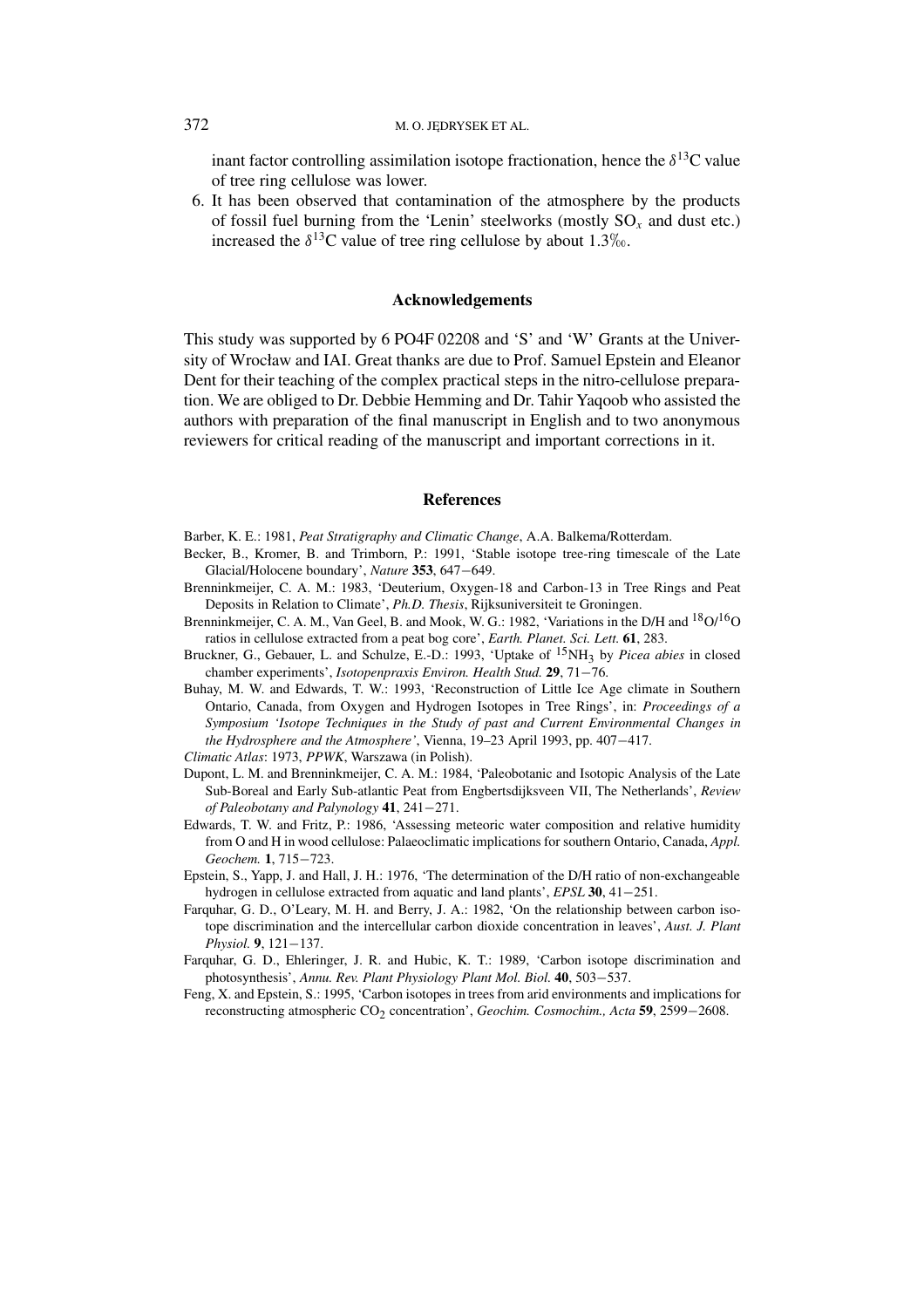#### 372 M.O. JEDRYSEK ET AL.

inant factor controlling assimilation isotope fractionation, hence the  $\delta^{13}$ C value of tree ring cellulose was lower.

6. It has been observed that contamination of the atmosphere by the products of fossil fuel burning from the 'Lenin' steelworks (mostly  $SO_x$  and dust etc.) increased the  $\delta^{13}$ C value of tree ring cellulose by about 1.3\% 0.

### **Acknowledgements**

This study was supported by 6 PO4F 02208 and 'S' and 'W' Grants at the University of Wrocław and IAI. Great thanks are due to Prof. Samuel Epstein and Eleanor Dent for their teaching of the complex practical steps in the nitro-cellulose preparation. We are obliged to Dr. Debbie Hemming and Dr. Tahir Yaqoob who assisted the authors with preparation of the final manuscript in English and to two anonymous reviewers for critical reading of the manuscript and important corrections in it.

#### **References**

- Becker, B., Kromer, B. and Trimborn, P.: 1991, 'Stable isotope tree-ring timescale of the Late Glacial/Holocene boundary', *Nature* **353**, 647−649.
- Brenninkmeijer, C. A. M.: 1983, 'Deuterium, Oxygen-18 and Carbon-13 in Tree Rings and Peat Deposits in Relation to Climate', *Ph.D. Thesis*, Rijksuniversiteit te Groningen.
- Brenninkmeijer, C. A. M., Van Geel, B. and Mook, W. G.: 1982, 'Variations in the D/H and <sup>18</sup>O/<sup>16</sup>O ratios in cellulose extracted from a peat bog core', *Earth. Planet. Sci. Lett.* **61**, 283.
- Bruckner, G., Gebauer, L. and Schulze, E.-D.: 1993, 'Uptake of 15NH3 by *Picea abies* in closed chamber experiments', *Isotopenpraxis Environ. Health Stud.* **29**, 71−76.
- Buhay, M. W. and Edwards, T. W.: 1993, 'Reconstruction of Little Ice Age climate in Southern Ontario, Canada, from Oxygen and Hydrogen Isotopes in Tree Rings', in: *Proceedings of a Symposium 'Isotope Techniques in the Study of past and Current Environmental Changes in the Hydrosphere and the Atmosphere'*, Vienna, 19–23 April 1993, pp. 407−417.

- Dupont, L. M. and Brenninkmeijer, C. A. M.: 1984, 'Paleobotanic and Isotopic Analysis of the Late Sub-Boreal and Early Sub-atlantic Peat from Engbertsdijksveen VII, The Netherlands', *Review of Paleobotany and Palynology* **41**, 241−271.
- Edwards, T. W. and Fritz, P.: 1986, 'Assessing meteoric water composition and relative humidity from O and H in wood cellulose: Palaeoclimatic implications for southern Ontario, Canada, *Appl. Geochem.* **1**, 715−723.
- Epstein, S., Yapp, J. and Hall, J. H.: 1976, 'The determination of the D/H ratio of non-exchangeable hydrogen in cellulose extracted from aquatic and land plants', *EPSL* **30**, 41−251.
- Farquhar, G. D., O'Leary, M. H. and Berry, J. A.: 1982, 'On the relationship between carbon isotope discrimination and the intercellular carbon dioxide concentration in leaves', *Aust. J. Plant Physiol.* **9**, 121−137.
- Farquhar, G. D., Ehleringer, J. R. and Hubic, K. T.: 1989, 'Carbon isotope discrimination and photosynthesis', *Annu. Rev. Plant Physiology Plant Mol. Biol.* **40**, 503−537.
- Feng, X. and Epstein, S.: 1995, 'Carbon isotopes in trees from arid environments and implications for reconstructing atmospheric CO2 concentration', *Geochim. Cosmochim., Acta* **59**, 2599−2608.

Barber, K. E.: 1981, *Peat Stratigraphy and Climatic Change*, A.A. Balkema/Rotterdam.

*Climatic Atlas*: 1973, *PPWK*, Warszawa (in Polish).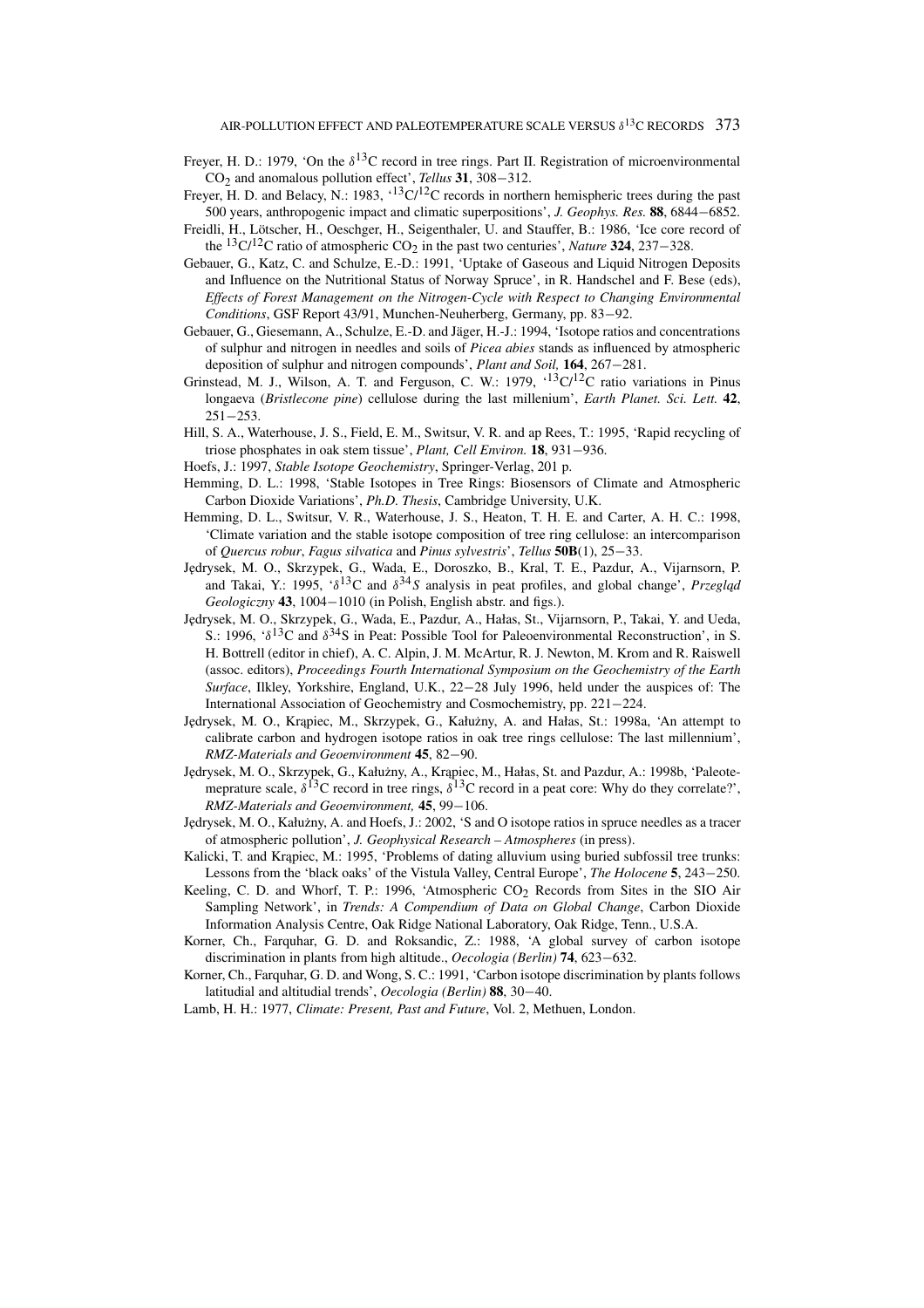- Freyer, H. D.: 1979, 'On the *δ*13C record in tree rings. Part II. Registration of microenvironmental CO2 and anomalous pollution effect', *Tellus* **31**, 308−312.
- Freyer, H. D. and Belacy, N.: 1983,  $^{13}C/I2C$  records in northern hemispheric trees during the past 500 years, anthropogenic impact and climatic superpositions', *J. Geophys. Res.* **88**, 6844−6852.
- Freidli, H., Lötscher, H., Oeschger, H., Seigenthaler, U. and Stauffer, B.: 1986, 'Ice core record of the 13C/12C ratio of atmospheric CO2 in the past two centuries', *Nature* **<sup>324</sup>**, 237−328.
- Gebauer, G., Katz, C. and Schulze, E.-D.: 1991, 'Uptake of Gaseous and Liquid Nitrogen Deposits and Influence on the Nutritional Status of Norway Spruce', in R. Handschel and F. Bese (eds), *Effects of Forest Management on the Nitrogen-Cycle with Respect to Changing Environmental Conditions*, GSF Report 43/91, Munchen-Neuherberg, Germany, pp. 83−92.
- Gebauer, G., Giesemann, A., Schulze, E.-D. and Jäger, H.-J.: 1994, 'Isotope ratios and concentrations of sulphur and nitrogen in needles and soils of *Picea abies* stands as influenced by atmospheric deposition of sulphur and nitrogen compounds', *Plant and Soil,* **164**, 267−281.
- Grinstead, M. J., Wilson, A. T. and Ferguson, C. W.: 1979,  $\cdot$ <sup>13</sup>C/<sup>12</sup>C ratio variations in Pinus longaeva (*Bristlecone pine*) cellulose during the last millenium', *Earth Planet. Sci. Lett.* **42**, 251−253.
- Hill, S. A., Waterhouse, J. S., Field, E. M., Switsur, V. R. and ap Rees, T.: 1995, 'Rapid recycling of triose phosphates in oak stem tissue', *Plant, Cell Environ.* **18**, 931−936.
- Hoefs, J.: 1997, *Stable Isotope Geochemistry*, Springer-Verlag, 201 p.
- Hemming, D. L.: 1998, 'Stable Isotopes in Tree Rings: Biosensors of Climate and Atmospheric Carbon Dioxide Variations', *Ph.D. Thesis*, Cambridge University, U.K.
- Hemming, D. L., Switsur, V. R., Waterhouse, J. S., Heaton, T. H. E. and Carter, A. H. C.: 1998, 'Climate variation and the stable isotope composition of tree ring cellulose: an intercomparison of *Quercus robur*, *Fagus silvatica* and *Pinus sylvestris*', *Tellus* **50B**(1), 25−33.
- Jędrysek, M. O., Skrzypek, G., Wada, E., Doroszko, B., Kral, T. E., Pazdur, A., Vijarnsorn, P. and Takai, Y.: 1995,  $\langle \delta^{13}C \rangle$  and  $\delta^{34}S$  analysis in peat profiles, and global change', *Przeglad Geologiczny* **43**, 1004−1010 (in Polish, English abstr. and figs.).
- Jędrysek, M. O., Skrzypek, G., Wada, E., Pazdur, A., Hałas, St., Vijarnsorn, P., Takai, Y. and Ueda, S.: 1996, '*δ*13C and *δ*34S in Peat: Possible Tool for Paleoenvironmental Reconstruction', in S. H. Bottrell (editor in chief), A. C. Alpin, J. M. McArtur, R. J. Newton, M. Krom and R. Raiswell (assoc. editors), *Proceedings Fourth International Symposium on the Geochemistry of the Earth Surface*, Ilkley, Yorkshire, England, U.K., 22−28 July 1996, held under the auspices of: The International Association of Geochemistry and Cosmochemistry, pp. 221−224.
- Jędrysek, M. O., Krąpiec, M., Skrzypek, G., Kałużny, A. and Hałas, St.: 1998a, 'An attempt to calibrate carbon and hydrogen isotope ratios in oak tree rings cellulose: The last millennium', *RMZ-Materials and Geoenvironment* **45**, 82−90.
- Jędrysek, M. O., Skrzypek, G., Kałużny, A., Krąpiec, M., Hałas, St. and Pazdur, A.: 1998b, 'Paleotemeprature scale, *δ*13C record in tree rings, *δ*13C record in a peat core: Why do they correlate?', *RMZ-Materials and Geoenvironment,* **45**, 99−106.
- Jędrysek, M. O., Kałużny, A. and Hoefs, J.: 2002, 'S and O isotope ratios in spruce needles as a tracer of atmospheric pollution', *J. Geophysical Research – Atmospheres* (in press).
- Kalicki, T. and Krapiec, M.: 1995, 'Problems of dating alluvium using buried subfossil tree trunks: Lessons from the 'black oaks' of the Vistula Valley, Central Europe', *The Holocene* **5**, 243−250.
- Keeling, C. D. and Whorf, T. P.: 1996, 'Atmospheric  $CO<sub>2</sub>$  Records from Sites in the SIO Air Sampling Network', in *Trends: A Compendium of Data on Global Change*, Carbon Dioxide Information Analysis Centre, Oak Ridge National Laboratory, Oak Ridge, Tenn., U.S.A.
- Korner, Ch., Farquhar, G. D. and Roksandic, Z.: 1988, 'A global survey of carbon isotope discrimination in plants from high altitude., *Oecologia (Berlin)* **74**, 623−632.
- Korner, Ch., Farquhar, G. D. and Wong, S. C.: 1991, 'Carbon isotope discrimination by plants follows latitudial and altitudial trends', *Oecologia (Berlin)* **88**, 30−40.
- Lamb, H. H.: 1977, *Climate: Present, Past and Future*, Vol. 2, Methuen, London.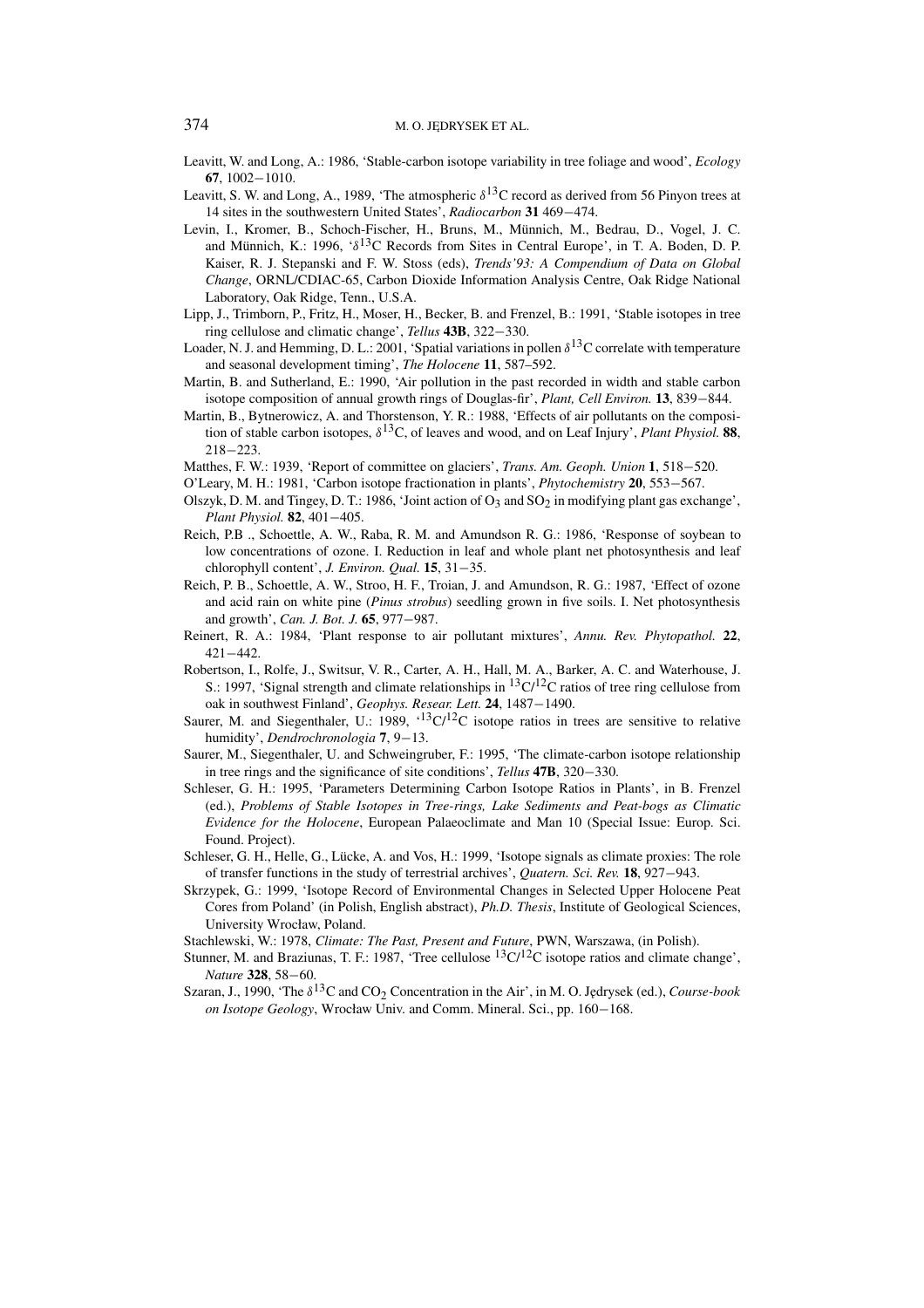#### 374 M.O. JEDRYSEK ET AL.

- Leavitt, W. and Long, A.: 1986, 'Stable-carbon isotope variability in tree foliage and wood', *Ecology* **67**, 1002−1010.
- Leavitt, S. W. and Long, A., 1989, 'The atmospheric  $\delta^{13}$ C record as derived from 56 Pinyon trees at 14 sites in the southwestern United States', *Radiocarbon* **31** 469−474.
- Levin, I., Kromer, B., Schoch-Fischer, H., Bruns, M., Münnich, M., Bedrau, D., Vogel, J. C. and Münnich, K.: 1996, '*δ*13C Records from Sites in Central Europe', in T. A. Boden, D. P. Kaiser, R. J. Stepanski and F. W. Stoss (eds), *Trends'93: A Compendium of Data on Global Change*, ORNL/CDIAC-65, Carbon Dioxide Information Analysis Centre, Oak Ridge National Laboratory, Oak Ridge, Tenn., U.S.A.
- Lipp, J., Trimborn, P., Fritz, H., Moser, H., Becker, B. and Frenzel, B.: 1991, 'Stable isotopes in tree ring cellulose and climatic change', *Tellus* **43B**, 322−330.
- Loader, N. J. and Hemming, D. L.: 2001, 'Spatial variations in pollen  $\delta^{13}$ C correlate with temperature and seasonal development timing', *The Holocene* **11**, 587–592.
- Martin, B. and Sutherland, E.: 1990, 'Air pollution in the past recorded in width and stable carbon isotope composition of annual growth rings of Douglas-fir', *Plant, Cell Environ.* **13**, 839−844.
- Martin, B., Bytnerowicz, A. and Thorstenson, Y. R.: 1988, 'Effects of air pollutants on the composition of stable carbon isotopes, *δ*13C, of leaves and wood, and on Leaf Injury', *Plant Physiol.* **88**, 218−223.
- Matthes, F. W.: 1939, 'Report of committee on glaciers', *Trans. Am. Geoph. Union* **1**, 518−520.
- O'Leary, M. H.: 1981, 'Carbon isotope fractionation in plants', *Phytochemistry* **20**, 553−567.
- Olszyk, D. M. and Tingey, D. T.: 1986, 'Joint action of O3 and SO<sub>2</sub> in modifying plant gas exchange', *Plant Physiol.* **82**, 401−405.
- Reich, P.B ., Schoettle, A. W., Raba, R. M. and Amundson R. G.: 1986, 'Response of soybean to low concentrations of ozone. I. Reduction in leaf and whole plant net photosynthesis and leaf chlorophyll content', *J. Environ. Qual.* **15**, 31−35.
- Reich, P. B., Schoettle, A. W., Stroo, H. F., Troian, J. and Amundson, R. G.: 1987, 'Effect of ozone and acid rain on white pine (*Pinus strobus*) seedling grown in five soils. I. Net photosynthesis and growth', *Can. J. Bot. J.* **65**, 977−987.
- Reinert, R. A.: 1984, 'Plant response to air pollutant mixtures', *Annu. Rev. Phytopathol.* **22**, 421−442.
- Robertson, I., Rolfe, J., Switsur, V. R., Carter, A. H., Hall, M. A., Barker, A. C. and Waterhouse, J. S.: 1997, 'Signal strength and climate relationships in  ${}^{13}C/{}^{12}C$  ratios of tree ring cellulose from oak in southwest Finland', *Geophys. Resear. Lett.* **24**, 1487−1490.
- Saurer, M. and Siegenthaler, U.: 1989,  $^{13}C/^{12}C$  isotope ratios in trees are sensitive to relative humidity', *Dendrochronologia* **7**, 9−13.
- Saurer, M., Siegenthaler, U. and Schweingruber, F.: 1995, 'The climate-carbon isotope relationship in tree rings and the significance of site conditions', *Tellus* **47B**, 320−330.
- Schleser, G. H.: 1995, 'Parameters Determining Carbon Isotope Ratios in Plants', in B. Frenzel (ed.), *Problems of Stable Isotopes in Tree-rings, Lake Sediments and Peat-bogs as Climatic Evidence for the Holocene*, European Palaeoclimate and Man 10 (Special Issue: Europ. Sci. Found. Project).
- Schleser, G. H., Helle, G., Lücke, A. and Vos, H.: 1999, 'Isotope signals as climate proxies: The role of transfer functions in the study of terrestrial archives', *Quatern. Sci. Rev.* **18**, 927−943.
- Skrzypek, G.: 1999, 'Isotope Record of Environmental Changes in Selected Upper Holocene Peat Cores from Poland' (in Polish, English abstract), *Ph.D. Thesis*, Institute of Geological Sciences, University Wrocław, Poland.
- Stachlewski, W.: 1978, *Climate: The Past, Present and Future*, PWN, Warszawa, (in Polish).
- Stunner, M. and Braziunas, T. F.: 1987, 'Tree cellulose  ${}^{13}C/{}^{12}C$  isotope ratios and climate change', *Nature* **328**, 58−60.
- Szaran, J., 1990, 'The δ<sup>13</sup>C and CO<sub>2</sub> Concentration in the Air', in M. O. Jędrysek (ed.), *Course-book on Isotope Geology*, Wrocław Univ. and Comm. Mineral. Sci., pp. 160−168.